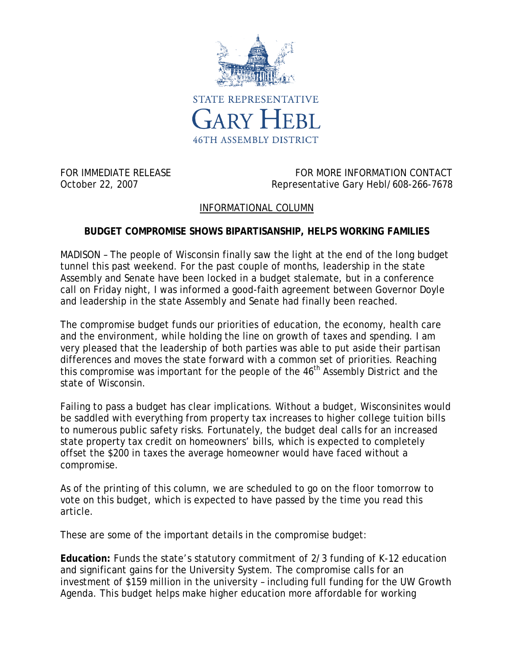

FOR IMMEDIATE RELEASE FOR MORE INFORMATION CONTACT October 22, 2007 Charlotter Cary Hebl/608-266-7678

## INFORMATIONAL COLUMN

## **BUDGET COMPROMISE SHOWS BIPARTISANSHIP, HELPS WORKING FAMILIES**

MADISON – The people of Wisconsin finally saw the light at the end of the long budget tunnel this past weekend. For the past couple of months, leadership in the state Assembly and Senate have been locked in a budget stalemate, but in a conference call on Friday night, I was informed a good-faith agreement between Governor Doyle and leadership in the state Assembly and Senate had finally been reached.

The compromise budget funds our priorities of education, the economy, health care and the environment, while holding the line on growth of taxes and spending. I am very pleased that the leadership of both parties was able to put aside their partisan differences and moves the state forward with a common set of priorities. Reaching this compromise was important for the people of the 46<sup>th</sup> Assembly District and the state of Wisconsin.

Failing to pass a budget has clear implications. Without a budget, Wisconsinites would be saddled with everything from property tax increases to higher college tuition bills to numerous public safety risks. Fortunately, the budget deal calls for an increased state property tax credit on homeowners' bills, which is expected to completely offset the \$200 in taxes the average homeowner would have faced without a compromise.

As of the printing of this column, we are scheduled to go on the floor tomorrow to vote on this budget, which is expected to have passed by the time you read this article.

These are some of the important details in the compromise budget:

**Education:** Funds the state's statutory commitment of 2/3 funding of K-12 education and significant gains for the University System. The compromise calls for an investment of \$159 million in the university – including full funding for the UW Growth Agenda. This budget helps make higher education more affordable for working